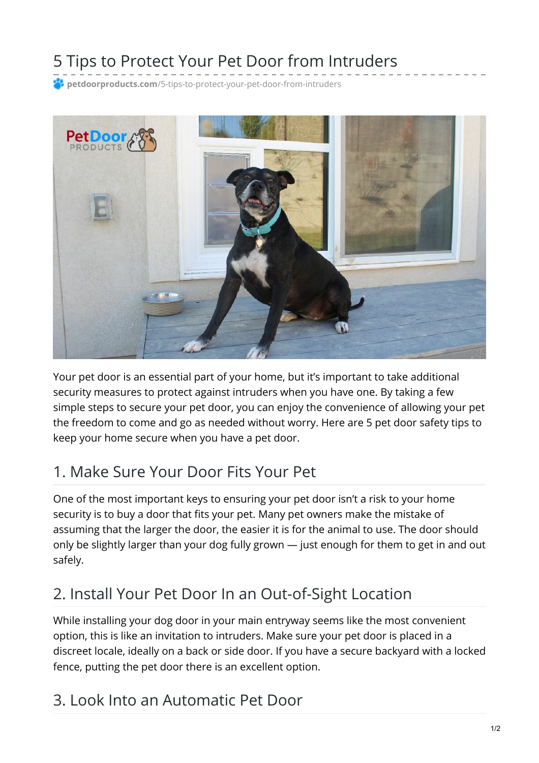# 5 Tips to Protect Your Pet Door from Intruders

**petdoorproducts.com**[/5-tips-to-protect-your-pet-door-from-intruders](https://petdoorproducts.com/5-tips-to-protect-your-pet-door-from-intruders/)



Your pet door is an essential part of your home, but it's important to take additional security measures to protect against intruders when you have one. By taking a few simple steps to secure your pet door, you can enjoy the convenience of allowing your pet the freedom to come and go as needed without worry. Here are 5 pet door safety tips to keep your home secure when you have a pet door.

# 1. Make Sure Your Door Fits Your Pet

One of the most important keys to ensuring your pet door isn't a risk to your home security is to buy a door that fits your pet. Many pet owners make the mistake of assuming that the larger the door, the easier it is for the animal to use. The door should only be slightly larger than your dog fully grown — just enough for them to get in and out safely.

# 2. Install Your Pet Door In an Out-of-Sight Location

While installing your dog door in your main entryway seems like the most convenient option, this is like an invitation to intruders. Make sure your pet door is placed in a discreet locale, ideally on a back or side door. If you have a secure backyard with a locked fence, putting the pet door there is an excellent option.

#### 3. Look Into an Automatic Pet Door